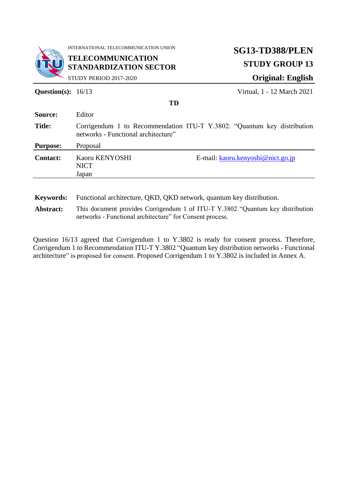

INTERNATIONAL TELECOMMUNICATION UNION

**TELECOMMUNICATION STANDARDIZATION SECTOR**

STUDY PERIOD 2017-2020

# **SG13-TD388/PLEN STUDY GROUP 13 Original: English**

**Question(s):** 16/13 Virtual, 1 - 12 March 2021

|                                    | <b>TD</b>                                                                                                                                                                                                                                                                                                                                                                                                  |
|------------------------------------|------------------------------------------------------------------------------------------------------------------------------------------------------------------------------------------------------------------------------------------------------------------------------------------------------------------------------------------------------------------------------------------------------------|
| Source:                            | Editor                                                                                                                                                                                                                                                                                                                                                                                                     |
| <b>Title:</b>                      | Corrigendum 1 to Recommendation ITU-T Y.3802: "Quantum key distribution<br>networks - Functional architecture"                                                                                                                                                                                                                                                                                             |
| <b>Purpose:</b>                    | Proposal                                                                                                                                                                                                                                                                                                                                                                                                   |
| <b>Contact:</b>                    | Kaoru KENYOSHI<br>E-mail: $kaoru.kenyoshi@nict.gov.jp$<br><b>NICT</b><br>Japan                                                                                                                                                                                                                                                                                                                             |
| <b>Keywords:</b><br>$\blacksquare$ | Functional architecture, QKD, QKD network, quantum key distribution.<br>$\mathbf{m}$ $\mathbf{t}$ $\mathbf{t}$ $\mathbf{t}$ $\mathbf{t}$ $\mathbf{t}$ $\mathbf{t}$ $\mathbf{t}$ $\mathbf{t}$ $\mathbf{t}$ $\mathbf{t}$ $\mathbf{t}$ $\mathbf{t}$ $\mathbf{t}$ $\mathbf{t}$ $\mathbf{t}$ $\mathbf{t}$ $\mathbf{t}$ $\mathbf{t}$ $\mathbf{t}$ $\mathbf{t}$ $\mathbf{t}$ $\mathbf{t}$ $\mathbf{t}$ $\mathbf{$ |

**Abstract:** This document provides Corrigendum 1 of ITU-T Y.3802 "Quantum key distribution networks - Functional architecture" for Consent process.

Question 16/13 agreed that Corrigendum 1 to Y.3802 is ready for consent process. Therefore, Corrigendum 1 to Recommendation ITU-T Y.3802 "Quantum key distribution networks - Functional architecture" is proposed for consent. Proposed Corrigendum 1 to Y.3802 is included in Annex A.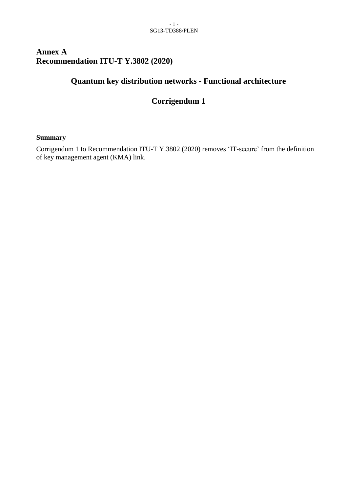# **Annex A Recommendation ITU-T Y.3802 (2020)**

# **Quantum key distribution networks - Functional architecture**

# **Corrigendum 1**

#### **Summary**

Corrigendum 1 to Recommendation ITU-T Y.3802 (2020) removes 'IT-secure' from the definition of key management agent (KMA) link.